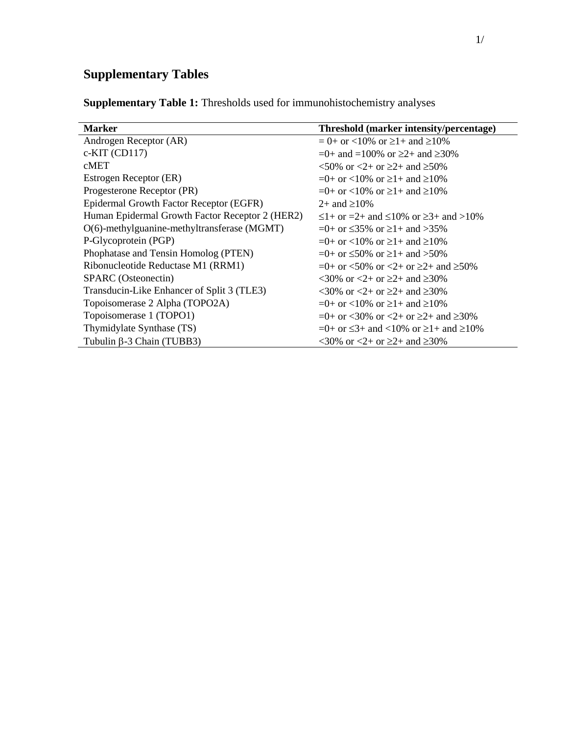## **Supplementary Tables**

| <b>Marker</b>                                   | Threshold (marker intensity/percentage)                        |
|-------------------------------------------------|----------------------------------------------------------------|
| Androgen Receptor (AR)                          | $= 0+$ or <10% or $\geq 1+$ and $\geq 10\%$                    |
| c-KIT (CD117)                                   | $=0+$ and $=100\%$ or $\geq 2+$ and $\geq 30\%$                |
| cMET                                            | $<50\%$ or $<2+$ or $\geq2+$ and $\geq50\%$                    |
| Estrogen Receptor (ER)                          | $=0+$ or $<10\%$ or $\geq 1+$ and $\geq 10\%$                  |
| Progesterone Receptor (PR)                      | $=0+$ or $<10\%$ or $\geq 1+$ and $\geq 10\%$                  |
| Epidermal Growth Factor Receptor (EGFR)         | $2+$ and $\geq 10\%$                                           |
| Human Epidermal Growth Factor Receptor 2 (HER2) | $\leq$ 1+ or =2+ and $\leq$ 10% or $\geq$ 3+ and $>$ 10%       |
| $O(6)$ -methylguanine-methyltransferase (MGMT)  | $=0+$ or $\leq 35\%$ or $\geq 1+$ and $>35\%$                  |
| P-Glycoprotein (PGP)                            | $=0+$ or $<10\%$ or $\geq 1+$ and $\geq 10\%$                  |
| Phophatase and Tensin Homolog (PTEN)            | $=0+$ or $\leq 50\%$ or $\geq 1+$ and $>50\%$                  |
| Ribonucleotide Reductase M1 (RRM1)              | $=0+$ or <50% or <2+ or $\geq 2+$ and $\geq 50\%$              |
| SPARC (Osteonectin)                             | <30\% or <2+ or $\geq 2+$ and $\geq 30\%$                      |
| Transducin-Like Enhancer of Split 3 (TLE3)      | <30\% or <2+ or $\geq 2+$ and $\geq 30\%$                      |
| Topoisomerase 2 Alpha (TOPO2A)                  | $=0+$ or $<10\%$ or $\geq 1+$ and $\geq 10\%$                  |
| Topoisomerase 1 (TOPO1)                         | $=0+$ or <30% or <2+ or $\geq 2+$ and $\geq 30\%$              |
| Thymidylate Synthase (TS)                       | $=0+$ or $\leq 3+$ and $\lt 10\%$ or $\geq 1+$ and $\geq 10\%$ |
| Tubulin $\beta$ -3 Chain (TUBB3)                | <30\% or <2+ or $\geq 2+$ and $\geq 30\%$                      |

**Supplementary Table 1:** Thresholds used for immunohistochemistry analyses